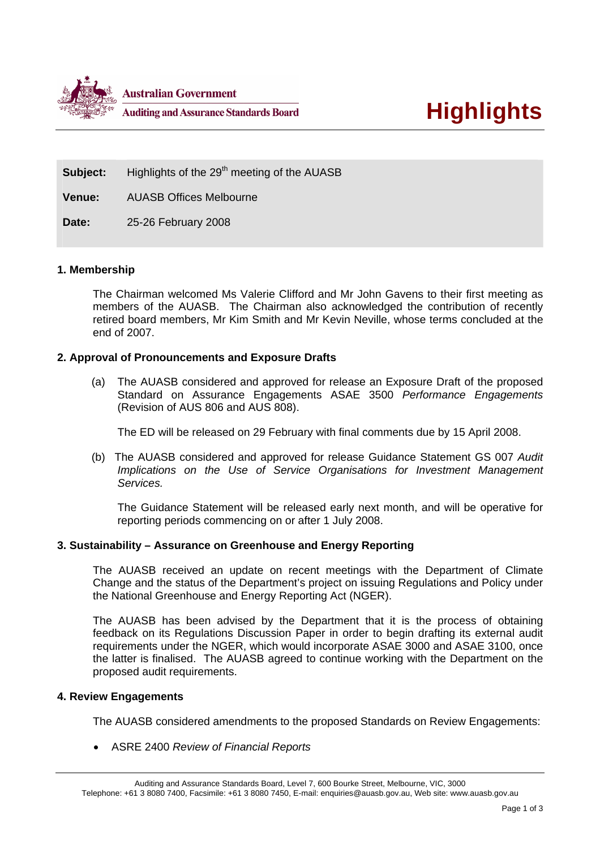

**Subject:** Highlights of the 29<sup>th</sup> meeting of the AUASB

**Venue:** AUASB Offices Melbourne

**Date:** 25-26 February 2008

## **1. Membership**

The Chairman welcomed Ms Valerie Clifford and Mr John Gavens to their first meeting as members of the AUASB. The Chairman also acknowledged the contribution of recently retired board members, Mr Kim Smith and Mr Kevin Neville, whose terms concluded at the end of 2007.

# **2. Approval of Pronouncements and Exposure Drafts**

(a) The AUASB considered and approved for release an Exposure Draft of the proposed Standard on Assurance Engagements ASAE 3500 *Performance Engagements* (Revision of AUS 806 and AUS 808).

The ED will be released on 29 February with final comments due by 15 April 2008.

(b) The AUASB considered and approved for release Guidance Statement GS 007 *Audit Implications on the Use of Service Organisations for Investment Management Services.* 

The Guidance Statement will be released early next month, and will be operative for reporting periods commencing on or after 1 July 2008.

## **3. Sustainability – Assurance on Greenhouse and Energy Reporting**

The AUASB received an update on recent meetings with the Department of Climate Change and the status of the Department's project on issuing Regulations and Policy under the National Greenhouse and Energy Reporting Act (NGER).

The AUASB has been advised by the Department that it is the process of obtaining feedback on its Regulations Discussion Paper in order to begin drafting its external audit requirements under the NGER, which would incorporate ASAE 3000 and ASAE 3100, once the latter is finalised. The AUASB agreed to continue working with the Department on the proposed audit requirements.

## **4. Review Engagements**

The AUASB considered amendments to the proposed Standards on Review Engagements:

• ASRE 2400 *Review of Financial Reports*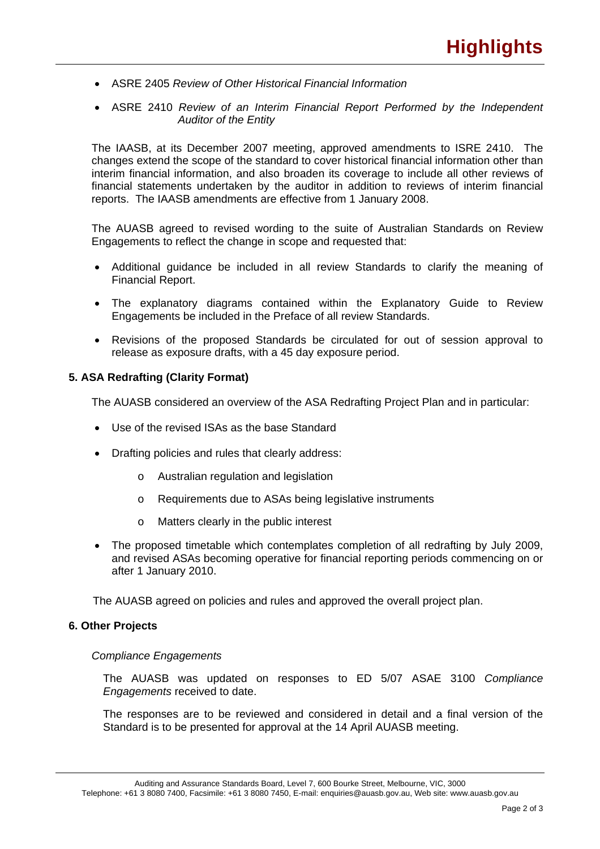- ASRE 2405 *Review of Other Historical Financial Information*
- ASRE 2410 *Review of an Interim Financial Report Performed by the Independent Auditor of the Entity*

The IAASB, at its December 2007 meeting, approved amendments to ISRE 2410. The changes extend the scope of the standard to cover historical financial information other than interim financial information, and also broaden its coverage to include all other reviews of financial statements undertaken by the auditor in addition to reviews of interim financial reports. The IAASB amendments are effective from 1 January 2008.

The AUASB agreed to revised wording to the suite of Australian Standards on Review Engagements to reflect the change in scope and requested that:

- Additional guidance be included in all review Standards to clarify the meaning of Financial Report.
- The explanatory diagrams contained within the Explanatory Guide to Review Engagements be included in the Preface of all review Standards.
- Revisions of the proposed Standards be circulated for out of session approval to release as exposure drafts, with a 45 day exposure period.

# **5. ASA Redrafting (Clarity Format)**

The AUASB considered an overview of the ASA Redrafting Project Plan and in particular:

- Use of the revised ISAs as the base Standard
- Drafting policies and rules that clearly address:
	- o Australian regulation and legislation
	- o Requirements due to ASAs being legislative instruments
	- o Matters clearly in the public interest
- The proposed timetable which contemplates completion of all redrafting by July 2009, and revised ASAs becoming operative for financial reporting periods commencing on or after 1 January 2010.

The AUASB agreed on policies and rules and approved the overall project plan.

## **6. Other Projects**

## *Compliance Engagements*

The AUASB was updated on responses to ED 5/07 ASAE 3100 *Compliance Engagements* received to date.

The responses are to be reviewed and considered in detail and a final version of the Standard is to be presented for approval at the 14 April AUASB meeting.